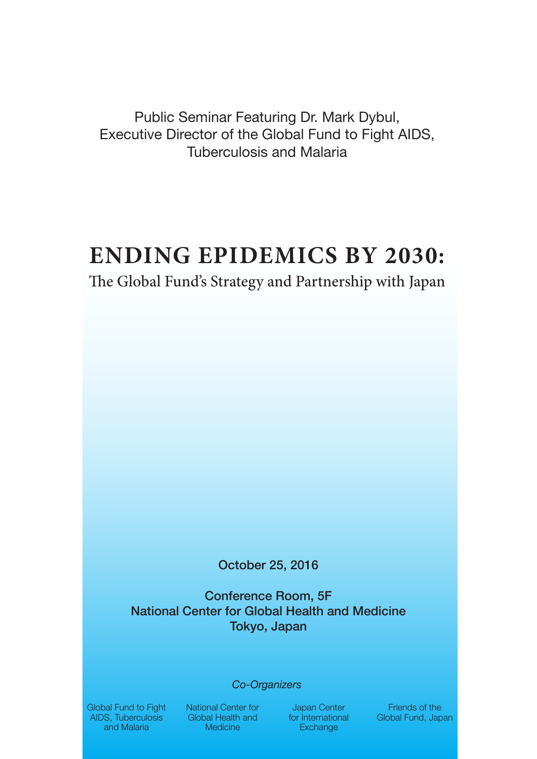Public Seminar Featuring Dr. Mark Dybul, Executive Director of the Global Fund to Fight AIDS, Tuberculosis and Malaria

# **ENDING EPIDEMICS BY 2030:**

# The Global Fund's Strategy and Partnership with Japan

October 25, 2016

Conference Room, 5F National Center for Global Health and Medicine Tokyo, Japan

#### *Co-Organizers*

Global Fund to Fight AIDS, Tuberculosis and Malaria

National Center for Global Health and **Medicine** 

Japan Center for International **Exchange** 

Friends of the Global Fund, Japan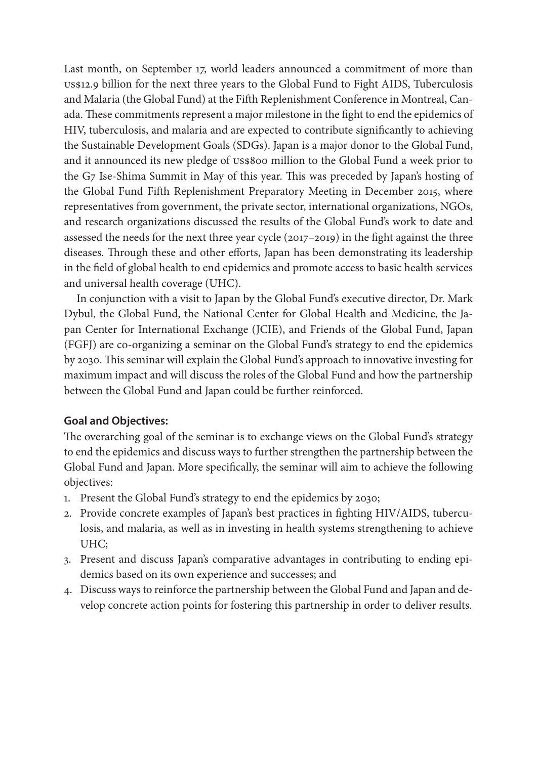Last month, on September 17, world leaders announced a commitment of more than US\$12.9 billion for the next three years to the Global Fund to Fight AIDS, Tuberculosis and Malaria (the Global Fund) at the Fifth Replenishment Conference in Montreal, Canada. These commitments represent a major milestone in the fight to end the epidemics of HIV, tuberculosis, and malaria and are expected to contribute significantly to achieving the Sustainable Development Goals (SDGs). Japan is a major donor to the Global Fund, and it announced its new pledge of US\$800 million to the Global Fund a week prior to the G7 Ise-Shima Summit in May of this year. This was preceded by Japan's hosting of the Global Fund Fifth Replenishment Preparatory Meeting in December 2015, where representatives from government, the private sector, international organizations, NGOs, and research organizations discussed the results of the Global Fund's work to date and assessed the needs for the next three year cycle (2017–2019) in the fight against the three diseases. Through these and other efforts, Japan has been demonstrating its leadership in the field of global health to end epidemics and promote access to basic health services and universal health coverage (UHC).

In conjunction with a visit to Japan by the Global Fund's executive director, Dr. Mark Dybul, the Global Fund, the National Center for Global Health and Medicine, the Japan Center for International Exchange (JCIE), and Friends of the Global Fund, Japan (FGFJ) are co-organizing a seminar on the Global Fund's strategy to end the epidemics by 2030. This seminar will explain the Global Fund's approach to innovative investing for maximum impact and will discuss the roles of the Global Fund and how the partnership between the Global Fund and Japan could be further reinforced.

#### **Goal and Objectives:**

The overarching goal of the seminar is to exchange views on the Global Fund's strategy to end the epidemics and discuss ways to further strengthen the partnership between the Global Fund and Japan. More specifically, the seminar will aim to achieve the following objectives:

- 1. Present the Global Fund's strategy to end the epidemics by 2030;
- 2. Provide concrete examples of Japan's best practices in fighting HIV/AIDS, tuberculosis, and malaria, as well as in investing in health systems strengthening to achieve UHC;
- 3. Present and discuss Japan's comparative advantages in contributing to ending epidemics based on its own experience and successes; and
- 4. Discuss ways to reinforce the partnership between the Global Fund and Japan and develop concrete action points for fostering this partnership in order to deliver results.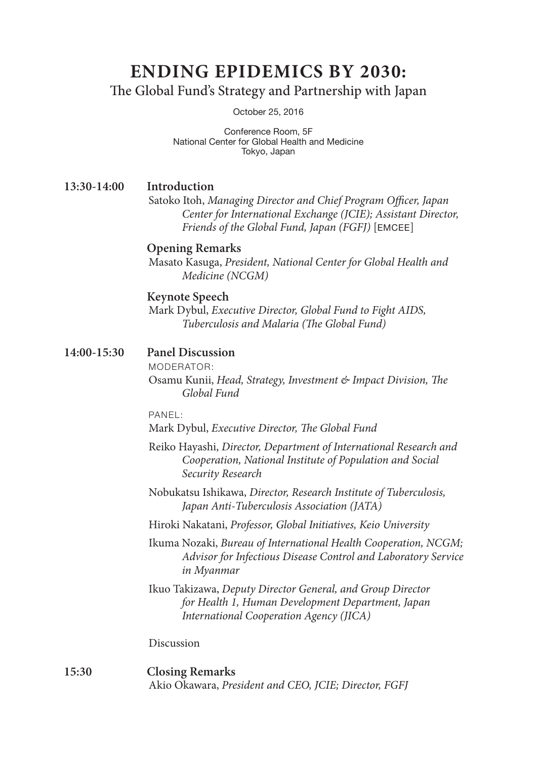# **ENDING EPIDEMICS BY 2030:**

The Global Fund's Strategy and Partnership with Japan

October 25, 2016

Conference Room, 5F National Center for Global Health and Medicine Tokyo, Japan

# **13:30-14:00 Introduction**

Satoko Itoh, *Managing Director and Chief Program Officer, Japan Center for International Exchange (JCIE); Assistant Director, Friends of the Global Fund, Japan (FGFJ)* [EMCEE]

#### **Opening Remarks**

Masato Kasuga, *President, National Center for Global Health and Medicine (NCGM)*

#### **Keynote Speech**

Mark Dybul, *Executive Director, Global Fund to Fight AIDS, Tuberculosis and Malaria (The Global Fund)*

#### **14:00-15:30 Panel Discussion**

MODERATOR:

Osamu Kunii, *Head, Strategy, Investment & Impact Division, The Global Fund*

PANEL:

Mark Dybul, *Executive Director, The Global Fund*

- Reiko Hayashi, *Director, Department of International Research and Cooperation, National Institute of Population and Social Security Research*
- Nobukatsu Ishikawa, *Director, Research Institute of Tuberculosis, Japan Anti-Tuberculosis Association (JATA)*
- Hiroki Nakatani, *Professor, Global Initiatives, Keio University*
- Ikuma Nozaki, *Bureau of International Health Cooperation, NCGM; Advisor for Infectious Disease Control and Laboratory Service in Myanmar*
- Ikuo Takizawa, *Deputy Director General, and Group Director for Health 1, Human Development Department, Japan International Cooperation Agency (JICA)*

Discussion

#### **15:30 Closing Remarks** Akio Okawara, *President and CEO, JCIE; Director, FGFJ*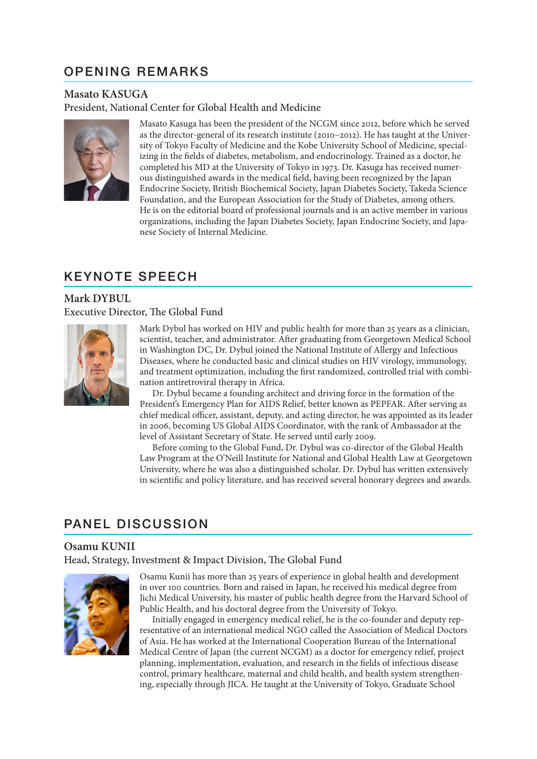# OPENING REMARKS

#### **Masato KASUGA**

President, National Center for Global Health and Medicine



Masato Kasuga has been the president of the NCGM since 2012, before which he served as the director-general of its research institute (2010–2012). He has taught at the University of Tokyo Faculty of Medicine and the Kobe University School of Medicine, specializing in the fields of diabetes, metabolism, and endocrinology. Trained as a doctor, he completed his MD at the University of Tokyo in 1973. Dr. Kasuga has received numerous distinguished awards in the medical field, having been recognized by the Japan Endocrine Society, British Biochemical Society, Japan Diabetes Society, Takeda Science Foundation, and the European Association for the Study of Diabetes, among others. He is on the editorial board of professional journals and is an active member in various organizations, including the Japan Diabetes Society, Japan Endocrine Society, and Japanese Society of Internal Medicine.

# KEYNOTE SPEECH

### **Mark DYBUL** Executive Director, The Global Fund



Mark Dybul has worked on HIV and public health for more than 25 years as a clinician, scientist, teacher, and administrator. After graduating from Georgetown Medical School in Washington DC, Dr. Dybul joined the National Institute of Allergy and Infectious Diseases, where he conducted basic and clinical studies on HIV virology, immunology, and treatment optimization, including the first randomized, controlled trial with combination antiretroviral therapy in Africa.

Dr. Dybul became a founding architect and driving force in the formation of the President's Emergency Plan for AIDS Relief, better known as PEPFAR. After serving as chief medical officer, assistant, deputy, and acting director, he was appointed as its leader in 2006, becoming US Global AIDS Coordinator, with the rank of Ambassador at the level of Assistant Secretary of State. He served until early 2009.

Before coming to the Global Fund, Dr. Dybul was co-director of the Global Health Law Program at the O'Neill Institute for National and Global Health Law at Georgetown University, where he was also a distinguished scholar. Dr. Dybul has written extensively in scientific and policy literature, and has received several honorary degrees and awards.

# PANEL DISCUSSION

#### **Osamu KUNII**

Head, Strategy, Investment & Impact Division, The Global Fund



Osamu Kunii has more than 25 years of experience in global health and development in over 100 countries. Born and raised in Japan, he received his medical degree from Jichi Medical University, his master of public health degree from the Harvard School of Public Health, and his doctoral degree from the University of Tokyo.

Initially engaged in emergency medical relief, he is the co-founder and deputy representative of an international medical NGO called the Association of Medical Doctors of Asia. He has worked at the International Cooperation Bureau of the International Medical Centre of Japan (the current NCGM) as a doctor for emergency relief, project planning, implementation, evaluation, and research in the fields of infectious disease control, primary healthcare, maternal and child health, and health system strengthening, especially through JICA. He taught at the University of Tokyo, Graduate School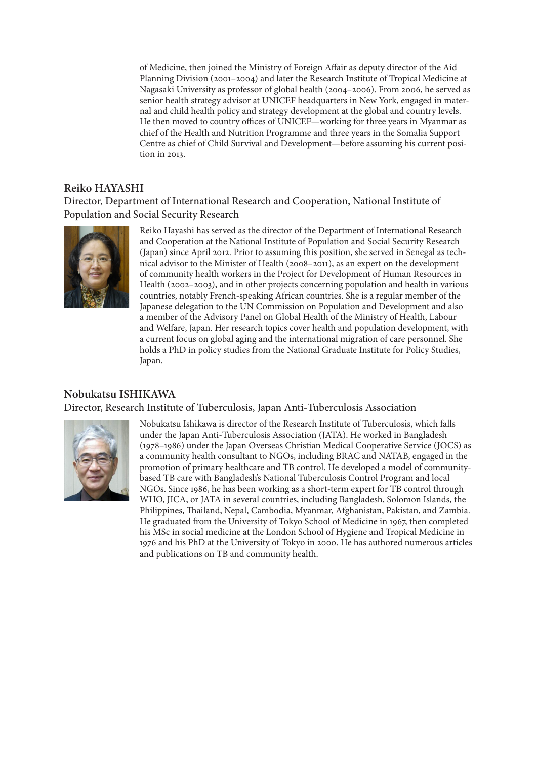of Medicine, then joined the Ministry of Foreign Affair as deputy director of the Aid Planning Division (2001–2004) and later the Research Institute of Tropical Medicine at Nagasaki University as professor of global health (2004–2006). From 2006, he served as senior health strategy advisor at UNICEF headquarters in New York, engaged in maternal and child health policy and strategy development at the global and country levels. He then moved to country offices of UNICEF—working for three years in Myanmar as chief of the Health and Nutrition Programme and three years in the Somalia Support Centre as chief of Child Survival and Development—before assuming his current position in 2013.

#### **Reiko HAYASHI**

Director, Department of International Research and Cooperation, National Institute of Population and Social Security Research



Reiko Hayashi has served as the director of the Department of International Research and Cooperation at the National Institute of Population and Social Security Research (Japan) since April 2012. Prior to assuming this position, she served in Senegal as technical advisor to the Minister of Health (2008–2011), as an expert on the development of community health workers in the Project for Development of Human Resources in Health (2002–2003), and in other projects concerning population and health in various countries, notably French-speaking African countries. She is a regular member of the Japanese delegation to the UN Commission on Population and Development and also a member of the Advisory Panel on Global Health of the Ministry of Health, Labour and Welfare, Japan. Her research topics cover health and population development, with a current focus on global aging and the international migration of care personnel. She holds a PhD in policy studies from the National Graduate Institute for Policy Studies, Japan.

#### **Nobukatsu ISHIKAWA** Director, Research Institute of Tuberculosis, Japan Anti-Tuberculosis Association



Nobukatsu Ishikawa is director of the Research Institute of Tuberculosis, which falls under the Japan Anti-Tuberculosis Association (JATA). He worked in Bangladesh (1978–1986) under the Japan Overseas Christian Medical Cooperative Service (JOCS) as a community health consultant to NGOs, including BRAC and NATAB, engaged in the promotion of primary healthcare and TB control. He developed a model of communitybased TB care with Bangladesh's National Tuberculosis Control Program and local NGOs. Since 1986, he has been working as a short-term expert for TB control through WHO, JICA, or JATA in several countries, including Bangladesh, Solomon Islands, the Philippines, Thailand, Nepal, Cambodia, Myanmar, Afghanistan, Pakistan, and Zambia. He graduated from the University of Tokyo School of Medicine in 1967, then completed his MSc in social medicine at the London School of Hygiene and Tropical Medicine in 1976 and his PhD at the University of Tokyo in 2000. He has authored numerous articles and publications on TB and community health.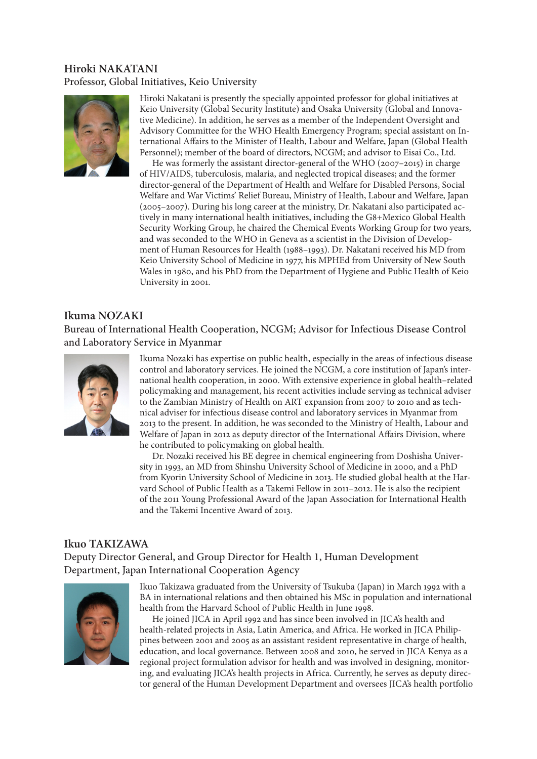# **Hiroki NAKATANI** Professor, Global Initiatives, Keio University



Hiroki Nakatani is presently the specially appointed professor for global initiatives at Keio University (Global Security Institute) and Osaka University (Global and Innovative Medicine). In addition, he serves as a member of the Independent Oversight and Advisory Committee for the WHO Health Emergency Program; special assistant on International Affairs to the Minister of Health, Labour and Welfare, Japan (Global Health Personnel); member of the board of directors, NCGM; and advisor to Eisai Co., Ltd.

He was formerly the assistant director-general of the WHO (2007–2015) in charge of HIV/AIDS, tuberculosis, malaria, and neglected tropical diseases; and the former director-general of the Department of Health and Welfare for Disabled Persons, Social Welfare and War Victims' Relief Bureau, Ministry of Health, Labour and Welfare, Japan (2005–2007). During his long career at the ministry, Dr. Nakatani also participated actively in many international health initiatives, including the G8+Mexico Global Health Security Working Group, he chaired the Chemical Events Working Group for two years, and was seconded to the WHO in Geneva as a scientist in the Division of Development of Human Resources for Health (1988–1993). Dr. Nakatani received his MD from Keio University School of Medicine in 1977, his MPHEd from University of New South Wales in 1980, and his PhD from the Department of Hygiene and Public Health of Keio University in 2001.

#### **Ikuma NOZAKI**

Bureau of International Health Cooperation, NCGM; Advisor for Infectious Disease Control and Laboratory Service in Myanmar



Ikuma Nozaki has expertise on public health, especially in the areas of infectious disease control and laboratory services. He joined the NCGM, a core institution of Japan's international health cooperation, in 2000. With extensive experience in global health–related policymaking and management, his recent activities include serving as technical adviser to the Zambian Ministry of Health on ART expansion from 2007 to 2010 and as technical adviser for infectious disease control and laboratory services in Myanmar from 2013 to the present. In addition, he was seconded to the Ministry of Health, Labour and Welfare of Japan in 2012 as deputy director of the International Affairs Division, where he contributed to policymaking on global health.

Dr. Nozaki received his BE degree in chemical engineering from Doshisha University in 1993, an MD from Shinshu University School of Medicine in 2000, and a PhD from Kyorin University School of Medicine in 2013. He studied global health at the Harvard School of Public Health as a Takemi Fellow in 2011–2012. He is also the recipient of the 2011 Young Professional Award of the Japan Association for International Health and the Takemi Incentive Award of 2013.

#### **Ikuo TAKIZAWA**

Deputy Director General, and Group Director for Health 1, Human Development Department, Japan International Cooperation Agency



Ikuo Takizawa graduated from the University of Tsukuba (Japan) in March 1992 with a BA in international relations and then obtained his MSc in population and international health from the Harvard School of Public Health in June 1998.

He joined JICA in April 1992 and has since been involved in JICA's health and health-related projects in Asia, Latin America, and Africa. He worked in JICA Philippines between 2001 and 2005 as an assistant resident representative in charge of health, education, and local governance. Between 2008 and 2010, he served in JICA Kenya as a regional project formulation advisor for health and was involved in designing, monitoring, and evaluating JICA's health projects in Africa. Currently, he serves as deputy director general of the Human Development Department and oversees JICA's health portfolio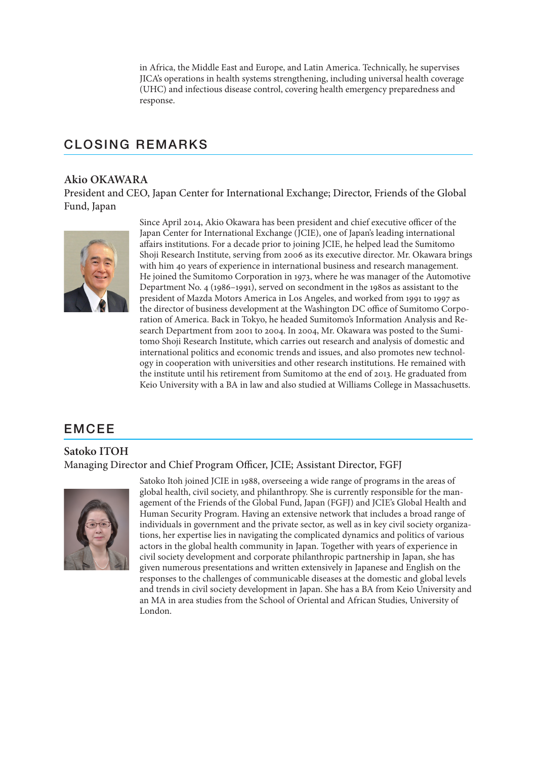in Africa, the Middle East and Europe, and Latin America. Technically, he supervises JICA's operations in health systems strengthening, including universal health coverage (UHC) and infectious disease control, covering health emergency preparedness and response.

# CLOSING REMARKS

#### **Akio OKAWARA**

President and CEO, Japan Center for International Exchange; Director, Friends of the Global Fund, Japan



Since April 2014, Akio Okawara has been president and chief executive officer of the Japan Center for International Exchange (JCIE), one of Japan's leading international affairs institutions. For a decade prior to joining JCIE, he helped lead the Sumitomo Shoji Research Institute, serving from 2006 as its executive director. Mr. Okawara brings with him 40 years of experience in international business and research management. He joined the Sumitomo Corporation in 1973, where he was manager of the Automotive Department No. 4 (1986–1991), served on secondment in the 1980s as assistant to the president of Mazda Motors America in Los Angeles, and worked from 1991 to 1997 as the director of business development at the Washington DC office of Sumitomo Corporation of America. Back in Tokyo, he headed Sumitomo's Information Analysis and Research Department from 2001 to 2004. In 2004, Mr. Okawara was posted to the Sumitomo Shoji Research Institute, which carries out research and analysis of domestic and international politics and economic trends and issues, and also promotes new technology in cooperation with universities and other research institutions. He remained with the institute until his retirement from Sumitomo at the end of 2013. He graduated from Keio University with a BA in law and also studied at Williams College in Massachusetts.

# EMCEE

# **Satoko ITOH** Managing Director and Chief Program Officer, JCIE; Assistant Director, FGFJ



Satoko Itoh joined JCIE in 1988, overseeing a wide range of programs in the areas of global health, civil society, and philanthropy. She is currently responsible for the management of the Friends of the Global Fund, Japan (FGFJ) and JCIE's Global Health and Human Security Program. Having an extensive network that includes a broad range of individuals in government and the private sector, as well as in key civil society organizations, her expertise lies in navigating the complicated dynamics and politics of various actors in the global health community in Japan. Together with years of experience in civil society development and corporate philanthropic partnership in Japan, she has given numerous presentations and written extensively in Japanese and English on the responses to the challenges of communicable diseases at the domestic and global levels and trends in civil society development in Japan. She has a BA from Keio University and an MA in area studies from the School of Oriental and African Studies, University of London.